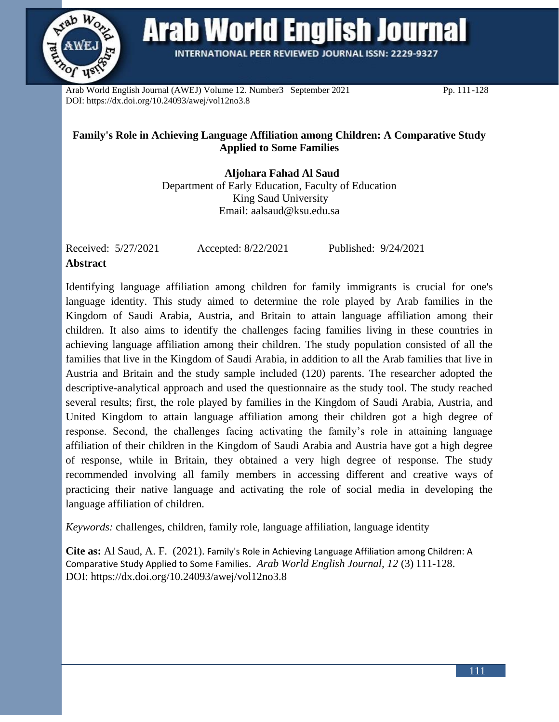

**Arab World English Journal** 

INTERNATIONAL PEER REVIEWED JOURNAL ISSN: 2229-9327

Arab World English Journal (AWEJ) Volume 12. Number3 September 2021 Pp. 111-128 DOI: https://dx.doi.org/10.24093/awej/vol12no3.8

# **Family's Role in Achieving Language Affiliation among Children: A Comparative Study Applied to Some Families**

 **Aljohara Fahad Al Saud** Department of Early Education, Faculty of Education King Saud University Email: [aalsaud@ksu.edu.sa](mailto:aalsaud@ksu.edu.sa)

Received: 5/27/2021 Accepted: 8/22/2021 Published: 9/24/2021 **Abstract**

Identifying language affiliation among children for family immigrants is crucial for one's language identity. This study aimed to determine the role played by Arab families in the Kingdom of Saudi Arabia, Austria, and Britain to attain language affiliation among their children. It also aims to identify the challenges facing families living in these countries in achieving language affiliation among their children. The study population consisted of all the families that live in the Kingdom of Saudi Arabia, in addition to all the Arab families that live in Austria and Britain and the study sample included (120) parents. The researcher adopted the descriptive-analytical approach and used the questionnaire as the study tool. The study reached several results; first, the role played by families in the Kingdom of Saudi Arabia, Austria, and United Kingdom to attain language affiliation among their children got a high degree of response. Second, the challenges facing activating the family's role in attaining language affiliation of their children in the Kingdom of Saudi Arabia and Austria have got a high degree of response, while in Britain, they obtained a very high degree of response. The study recommended involving all family members in accessing different and creative ways of practicing their native language and activating the role of social media in developing the language affiliation of children.

*Keywords:* challenges, children, family role, language affiliation, language identity

**Cite as:** Al Saud, A. F. (2021). Family's Role in Achieving Language Affiliation among Children: A Comparative Study Applied to Some Families. *Arab World English Journal, 12* (3) 111-128. DOI: https://dx.doi.org/10.24093/awej/vol12no3.8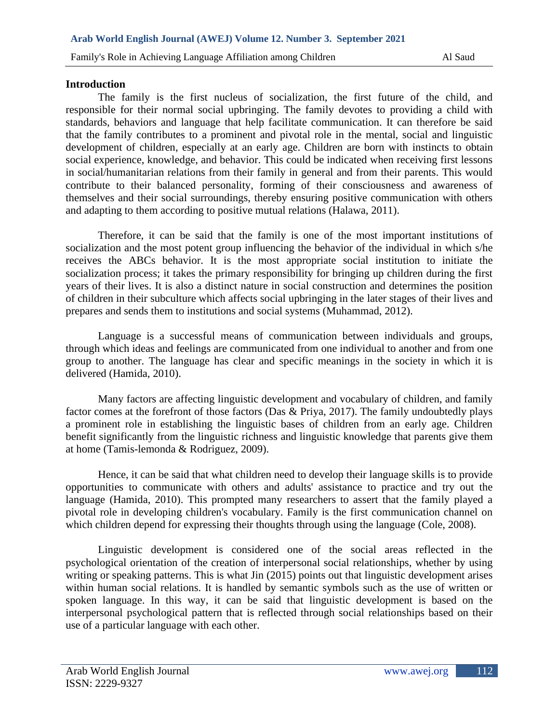### **Introduction**

The family is the first nucleus of socialization, the first future of the child, and responsible for their normal social upbringing. The family devotes to providing a child with standards, behaviors and language that help facilitate communication. It can therefore be said that the family contributes to a prominent and pivotal role in the mental, social and linguistic development of children, especially at an early age. Children are born with instincts to obtain social experience, knowledge, and behavior. This could be indicated when receiving first lessons in social/humanitarian relations from their family in general and from their parents. This would contribute to their balanced personality, forming of their consciousness and awareness of themselves and their social surroundings, thereby ensuring positive communication with others and adapting to them according to positive mutual relations (Halawa, 2011).

Therefore, it can be said that the family is one of the most important institutions of socialization and the most potent group influencing the behavior of the individual in which s/he receives the ABCs behavior. It is the most appropriate social institution to initiate the socialization process; it takes the primary responsibility for bringing up children during the first years of their lives. It is also a distinct nature in social construction and determines the position of children in their subculture which affects social upbringing in the later stages of their lives and prepares and sends them to institutions and social systems (Muhammad, 2012).

Language is a successful means of communication between individuals and groups, through which ideas and feelings are communicated from one individual to another and from one group to another. The language has clear and specific meanings in the society in which it is delivered (Hamida, 2010).

Many factors are affecting linguistic development and vocabulary of children, and family factor comes at the forefront of those factors (Das & Priya, 2017). The family undoubtedly plays a prominent role in establishing the linguistic bases of children from an early age. Children benefit significantly from the linguistic richness and linguistic knowledge that parents give them at home (Tamis-lemonda & Rodriguez, 2009).

Hence, it can be said that what children need to develop their language skills is to provide opportunities to communicate with others and adults' assistance to practice and try out the language (Hamida, 2010). This prompted many researchers to assert that the family played a pivotal role in developing children's vocabulary. Family is the first communication channel on which children depend for expressing their thoughts through using the language (Cole, 2008).

Linguistic development is considered one of the social areas reflected in the psychological orientation of the creation of interpersonal social relationships, whether by using writing or speaking patterns. This is what Jin (2015) points out that linguistic development arises within human social relations. It is handled by semantic symbols such as the use of written or spoken language. In this way, it can be said that linguistic development is based on the interpersonal psychological pattern that is reflected through social relationships based on their use of a particular language with each other.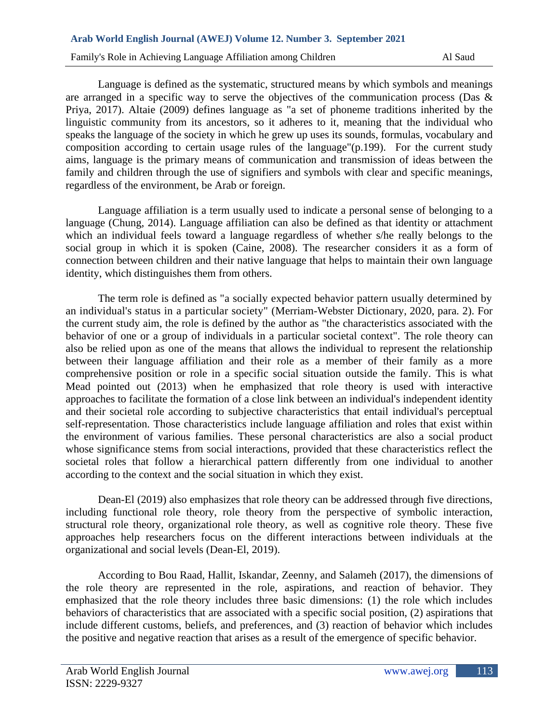Language is defined as the systematic, structured means by which symbols and meanings are arranged in a specific way to serve the objectives of the communication process (Das & Priya, 2017). Altaie (2009) defines language as "a set of phoneme traditions inherited by the linguistic community from its ancestors, so it adheres to it, meaning that the individual who speaks the language of the society in which he grew up uses its sounds, formulas, vocabulary and composition according to certain usage rules of the language"(p.199). For the current study aims, language is the primary means of communication and transmission of ideas between the family and children through the use of signifiers and symbols with clear and specific meanings, regardless of the environment, be Arab or foreign.

Language affiliation is a term usually used to indicate a personal sense of belonging to a language (Chung, 2014). Language affiliation can also be defined as that identity or attachment which an individual feels toward a language regardless of whether s/he really belongs to the social group in which it is spoken (Caine, 2008). The researcher considers it as a form of connection between children and their native language that helps to maintain their own language identity, which distinguishes them from others.

The term role is defined as "a socially expected behavior pattern usually determined by an individual's status in a particular society" (Merriam-Webster Dictionary, 2020, para. 2). For the current study aim, the role is defined by the author as "the characteristics associated with the behavior of one or a group of individuals in a particular societal context". The role theory can also be relied upon as one of the means that allows the individual to represent the relationship between their language affiliation and their role as a member of their family as a more comprehensive position or role in a specific social situation outside the family. This is what Mead pointed out (2013) when he emphasized that role theory is used with interactive approaches to facilitate the formation of a close link between an individual's independent identity and their societal role according to subjective characteristics that entail individual's perceptual self-representation. Those characteristics include language affiliation and roles that exist within the environment of various families. These personal characteristics are also a social product whose significance stems from social interactions, provided that these characteristics reflect the societal roles that follow a hierarchical pattern differently from one individual to another according to the context and the social situation in which they exist.

Dean-El (2019) also emphasizes that role theory can be addressed through five directions, including functional role theory, role theory from the perspective of symbolic interaction, structural role theory, organizational role theory, as well as cognitive role theory. These five approaches help researchers focus on the different interactions between individuals at the organizational and social levels (Dean-El, 2019).

According to Bou Raad, Hallit, Iskandar, Zeenny, and Salameh (2017), the dimensions of the role theory are represented in the role, aspirations, and reaction of behavior. They emphasized that the role theory includes three basic dimensions: (1) the role which includes behaviors of characteristics that are associated with a specific social position, (2) aspirations that include different customs, beliefs, and preferences, and (3) reaction of behavior which includes the positive and negative reaction that arises as a result of the emergence of specific behavior.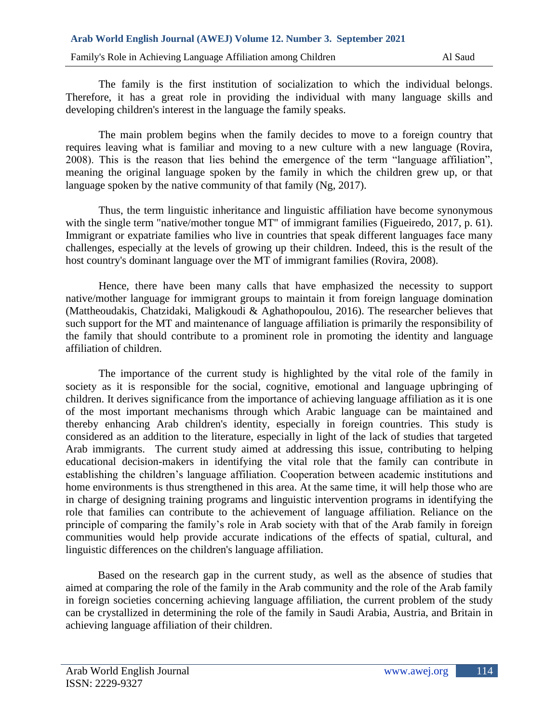The family is the first institution of socialization to which the individual belongs. Therefore, it has a great role in providing the individual with many language skills and developing children's interest in the language the family speaks.

The main problem begins when the family decides to move to a foreign country that requires leaving what is familiar and moving to a new culture with a new language (Rovira, 2008). This is the reason that lies behind the emergence of the term "language affiliation", meaning the original language spoken by the family in which the children grew up, or that language spoken by the native community of that family (Ng, 2017).

Thus, the term linguistic inheritance and linguistic affiliation have become synonymous with the single term "native/mother tongue MT" of immigrant families (Figueiredo, 2017, p. 61). Immigrant or expatriate families who live in countries that speak different languages face many challenges, especially at the levels of growing up their children. Indeed, this is the result of the host country's dominant language over the MT of immigrant families (Rovira, 2008).

Hence, there have been many calls that have emphasized the necessity to support native/mother language for immigrant groups to maintain it from foreign language domination (Mattheoudakis, Chatzidaki, Maligkoudi & Aghathopoulou, 2016). The researcher believes that such support for the MT and maintenance of language affiliation is primarily the responsibility of the family that should contribute to a prominent role in promoting the identity and language affiliation of children.

The importance of the current study is highlighted by the vital role of the family in society as it is responsible for the social, cognitive, emotional and language upbringing of children. It derives significance from the importance of achieving language affiliation as it is one of the most important mechanisms through which Arabic language can be maintained and thereby enhancing Arab children's identity, especially in foreign countries. This study is considered as an addition to the literature, especially in light of the lack of studies that targeted Arab immigrants. The current study aimed at addressing this issue, contributing to helping educational decision-makers in identifying the vital role that the family can contribute in establishing the children's language affiliation. Cooperation between academic institutions and home environments is thus strengthened in this area. At the same time, it will help those who are in charge of designing training programs and linguistic intervention programs in identifying the role that families can contribute to the achievement of language affiliation. Reliance on the principle of comparing the family's role in Arab society with that of the Arab family in foreign communities would help provide accurate indications of the effects of spatial, cultural, and linguistic differences on the children's language affiliation.

Based on the research gap in the current study, as well as the absence of studies that aimed at comparing the role of the family in the Arab community and the role of the Arab family in foreign societies concerning achieving language affiliation, the current problem of the study can be crystallized in determining the role of the family in Saudi Arabia, Austria, and Britain in achieving language affiliation of their children.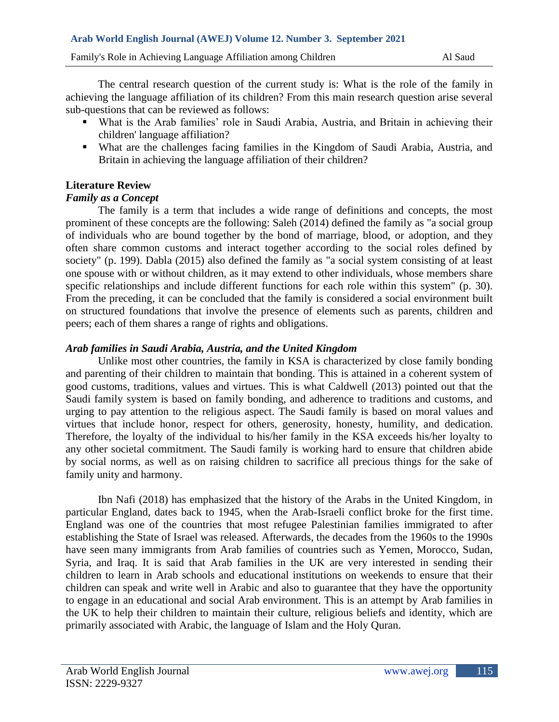The central research question of the current study is: What is the role of the family in achieving the language affiliation of its children? From this main research question arise several sub-questions that can be reviewed as follows:

- What is the Arab families' role in Saudi Arabia, Austria, and Britain in achieving their children' language affiliation?
- What are the challenges facing families in the Kingdom of Saudi Arabia, Austria, and Britain in achieving the language affiliation of their children?

# **Literature Review**

# *Family as a Concept*

The family is a term that includes a wide range of definitions and concepts, the most prominent of these concepts are the following: Saleh (2014) defined the family as "a social group of individuals who are bound together by the bond of marriage, blood, or adoption, and they often share common customs and interact together according to the social roles defined by society" (p. 199). Dabla (2015) also defined the family as "a social system consisting of at least one spouse with or without children, as it may extend to other individuals, whose members share specific relationships and include different functions for each role within this system" (p. 30). From the preceding, it can be concluded that the family is considered a social environment built on structured foundations that involve the presence of elements such as parents, children and peers; each of them shares a range of rights and obligations.

# *Arab families in Saudi Arabia, Austria, and the United Kingdom*

Unlike most other countries, the family in KSA is characterized by close family bonding and parenting of their children to maintain that bonding. This is attained in a coherent system of good customs, traditions, values and virtues. This is what Caldwell (2013) pointed out that the Saudi family system is based on family bonding, and adherence to traditions and customs, and urging to pay attention to the religious aspect. The Saudi family is based on moral values and virtues that include honor, respect for others, generosity, honesty, humility, and dedication. Therefore, the loyalty of the individual to his/her family in the KSA exceeds his/her loyalty to any other societal commitment. The Saudi family is working hard to ensure that children abide by social norms, as well as on raising children to sacrifice all precious things for the sake of family unity and harmony.

Ibn Nafi (2018) has emphasized that the history of the Arabs in the United Kingdom, in particular England, dates back to 1945, when the Arab-Israeli conflict broke for the first time. England was one of the countries that most refugee Palestinian families immigrated to after establishing the State of Israel was released. Afterwards, the decades from the 1960s to the 1990s have seen many immigrants from Arab families of countries such as Yemen, Morocco, Sudan, Syria, and Iraq. It is said that Arab families in the UK are very interested in sending their children to learn in Arab schools and educational institutions on weekends to ensure that their children can speak and write well in Arabic and also to guarantee that they have the opportunity to engage in an educational and social Arab environment. This is an attempt by Arab families in the UK to help their children to maintain their culture, religious beliefs and identity, which are primarily associated with Arabic, the language of Islam and the Holy Quran.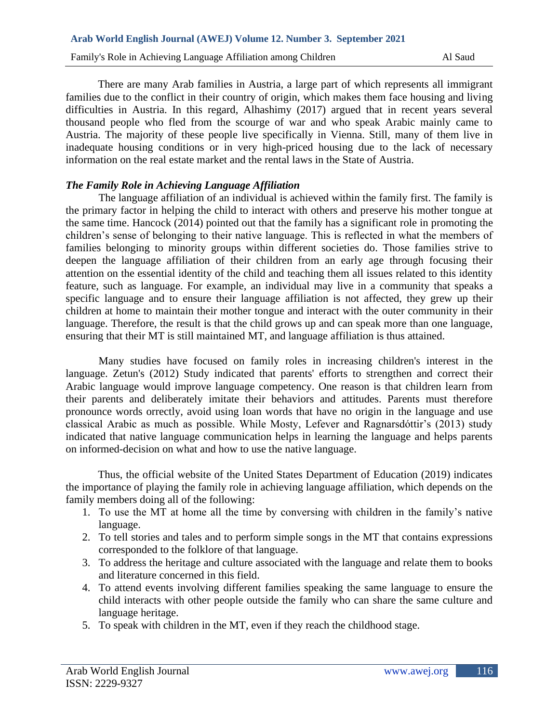There are many Arab families in Austria, a large part of which represents all immigrant families due to the conflict in their country of origin, which makes them face housing and living difficulties in Austria. In this regard, Alhashimy (2017) argued that in recent years several thousand people who fled from the scourge of war and who speak Arabic mainly came to Austria. The majority of these people live specifically in Vienna. Still, many of them live in inadequate housing conditions or in very high-priced housing due to the lack of necessary information on the real estate market and the rental laws in the State of Austria.

# *The Family Role in Achieving Language Affiliation*

The language affiliation of an individual is achieved within the family first. The family is the primary factor in helping the child to interact with others and preserve his mother tongue at the same time. Hancock (2014) pointed out that the family has a significant role in promoting the children's sense of belonging to their native language. This is reflected in what the members of families belonging to minority groups within different societies do. Those families strive to deepen the language affiliation of their children from an early age through focusing their attention on the essential identity of the child and teaching them all issues related to this identity feature, such as language. For example, an individual may live in a community that speaks a specific language and to ensure their language affiliation is not affected, they grew up their children at home to maintain their mother tongue and interact with the outer community in their language. Therefore, the result is that the child grows up and can speak more than one language, ensuring that their MT is still maintained MT, and language affiliation is thus attained.

Many studies have focused on family roles in increasing children's interest in the language. Zetun's (2012) Study indicated that parents' efforts to strengthen and correct their Arabic language would improve language competency. One reason is that children learn from their parents and deliberately imitate their behaviors and attitudes. Parents must therefore pronounce words orrectly, avoid using loan words that have no origin in the language and use classical Arabic as much as possible. While Mosty, Lefever and Ragnarsdóttir's (2013) study indicated that native language communication helps in learning the language and helps parents on informed-decision on what and how to use the native language.

Thus, the official website of the United States Department of Education (2019) indicates the importance of playing the family role in achieving language affiliation, which depends on the family members doing all of the following:

- 1. To use the MT at home all the time by conversing with children in the family's native language.
- 2. To tell stories and tales and to perform simple songs in the MT that contains expressions corresponded to the folklore of that language.
- 3. To address the heritage and culture associated with the language and relate them to books and literature concerned in this field.
- 4. To attend events involving different families speaking the same language to ensure the child interacts with other people outside the family who can share the same culture and language heritage.
- 5. To speak with children in the MT, even if they reach the childhood stage.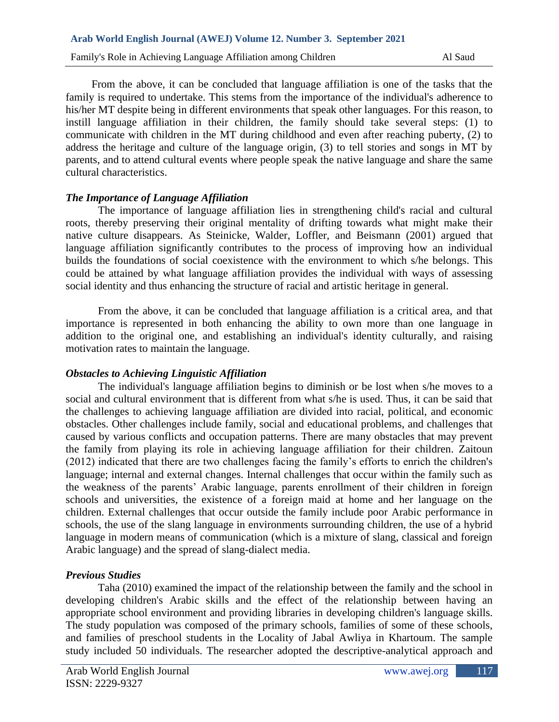From the above, it can be concluded that language affiliation is one of the tasks that the family is required to undertake. This stems from the importance of the individual's adherence to his/her MT despite being in different environments that speak other languages. For this reason, to instill language affiliation in their children, the family should take several steps: (1) to communicate with children in the MT during childhood and even after reaching puberty, (2) to address the heritage and culture of the language origin, (3) to tell stories and songs in MT by parents, and to attend cultural events where people speak the native language and share the same cultural characteristics.

# *The Importance of Language Affiliation*

The importance of language affiliation lies in strengthening child's racial and cultural roots, thereby preserving their original mentality of drifting towards what might make their native culture disappears. As Steinicke, Walder, Loffler, and Beismann (2001) argued that language affiliation significantly contributes to the process of improving how an individual builds the foundations of social coexistence with the environment to which s/he belongs. This could be attained by what language affiliation provides the individual with ways of assessing social identity and thus enhancing the structure of racial and artistic heritage in general.

From the above, it can be concluded that language affiliation is a critical area, and that importance is represented in both enhancing the ability to own more than one language in addition to the original one, and establishing an individual's identity culturally, and raising motivation rates to maintain the language.

## *Obstacles to Achieving Linguistic Affiliation*

The individual's language affiliation begins to diminish or be lost when s/he moves to a social and cultural environment that is different from what s/he is used. Thus, it can be said that the challenges to achieving language affiliation are divided into racial, political, and economic obstacles. Other challenges include family, social and educational problems, and challenges that caused by various conflicts and occupation patterns. There are many obstacles that may prevent the family from playing its role in achieving language affiliation for their children. Zaitoun (2012) indicated that there are two challenges facing the family's efforts to enrich the children's language; internal and external changes. Internal challenges that occur within the family such as the weakness of the parents' Arabic language, parents enrollment of their children in foreign schools and universities, the existence of a foreign maid at home and her language on the children. External challenges that occur outside the family include poor Arabic performance in schools, the use of the slang language in environments surrounding children, the use of a hybrid language in modern means of communication (which is a mixture of slang, classical and foreign Arabic language) and the spread of slang-dialect media.

# *Previous Studies*

Taha (2010) examined the impact of the relationship between the family and the school in developing children's Arabic skills and the effect of the relationship between having an appropriate school environment and providing libraries in developing children's language skills. The study population was composed of the primary schools, families of some of these schools, and families of preschool students in the Locality of Jabal Awliya in Khartoum. The sample study included 50 individuals. The researcher adopted the descriptive-analytical approach and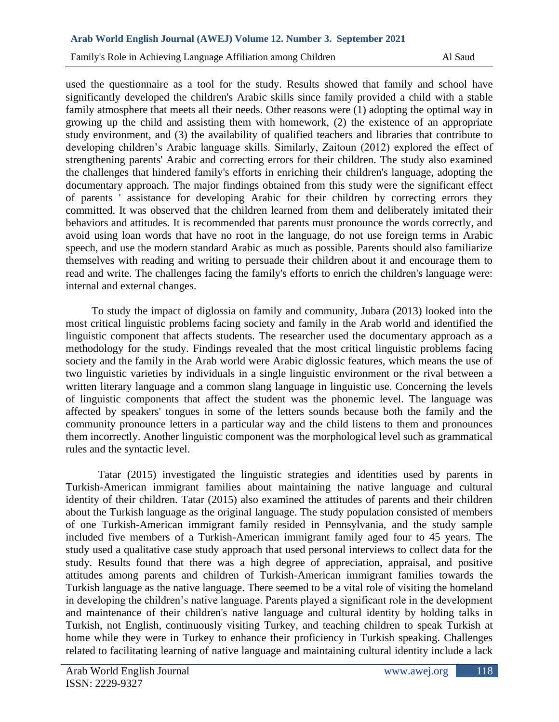Family's Role in Achieving Language Affiliation among Children Al Saud Al Saud

used the questionnaire as a tool for the study. Results showed that family and school have significantly developed the children's Arabic skills since family provided a child with a stable family atmosphere that meets all their needs. Other reasons were (1) adopting the optimal way in growing up the child and assisting them with homework, (2) the existence of an appropriate study environment, and (3) the availability of qualified teachers and libraries that contribute to developing children's Arabic language skills. Similarly, Zaitoun (2012) explored the effect of strengthening parents' Arabic and correcting errors for their children. The study also examined the challenges that hindered family's efforts in enriching their children's language, adopting the documentary approach. The major findings obtained from this study were the significant effect of parents ' assistance for developing Arabic for their children by correcting errors they committed. It was observed that the children learned from them and deliberately imitated their behaviors and attitudes. It is recommended that parents must pronounce the words correctly, and avoid using loan words that have no root in the language, do not use foreign terms in Arabic speech, and use the modern standard Arabic as much as possible. Parents should also familiarize themselves with reading and writing to persuade their children about it and encourage them to read and write. The challenges facing the family's efforts to enrich the children's language were: internal and external changes.

To study the impact of diglossia on family and community, Jubara (2013) looked into the most critical linguistic problems facing society and family in the Arab world and identified the linguistic component that affects students. The researcher used the documentary approach as a methodology for the study. Findings revealed that the most critical linguistic problems facing society and the family in the Arab world were Arabic diglossic features, which means the use of two linguistic varieties by individuals in a single linguistic environment or the rival between a written literary language and a common slang language in linguistic use. Concerning the levels of linguistic components that affect the student was the phonemic level. The language was affected by speakers' tongues in some of the letters sounds because both the family and the community pronounce letters in a particular way and the child listens to them and pronounces them incorrectly. Another linguistic component was the morphological level such as grammatical rules and the syntactic level.

Tatar (2015) investigated the linguistic strategies and identities used by parents in Turkish-American immigrant families about maintaining the native language and cultural identity of their children. Tatar (2015) also examined the attitudes of parents and their children about the Turkish language as the original language. The study population consisted of members of one Turkish-American immigrant family resided in Pennsylvania, and the study sample included five members of a Turkish-American immigrant family aged four to 45 years. The study used a qualitative case study approach that used personal interviews to collect data for the study. Results found that there was a high degree of appreciation, appraisal, and positive attitudes among parents and children of Turkish-American immigrant families towards the Turkish language as the native language. There seemed to be a vital role of visiting the homeland in developing the children's native language. Parents played a significant role in the development and maintenance of their children's native language and cultural identity by holding talks in Turkish, not English, continuously visiting Turkey, and teaching children to speak Turkish at home while they were in Turkey to enhance their proficiency in Turkish speaking. Challenges related to facilitating learning of native language and maintaining cultural identity include a lack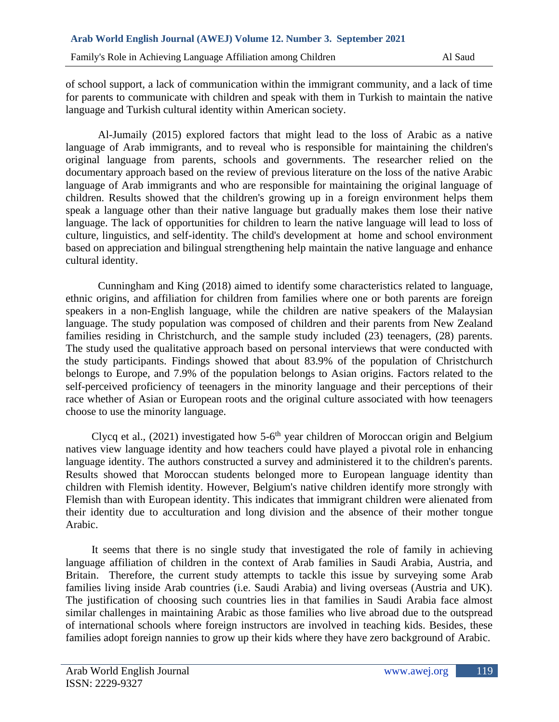of school support, a lack of communication within the immigrant community, and a lack of time for parents to communicate with children and speak with them in Turkish to maintain the native language and Turkish cultural identity within American society.

Al-Jumaily (2015) explored factors that might lead to the loss of Arabic as a native language of Arab immigrants, and to reveal who is responsible for maintaining the children's original language from parents, schools and governments. The researcher relied on the documentary approach based on the review of previous literature on the loss of the native Arabic language of Arab immigrants and who are responsible for maintaining the original language of children. Results showed that the children's growing up in a foreign environment helps them speak a language other than their native language but gradually makes them lose their native language. The lack of opportunities for children to learn the native language will lead to loss of culture, linguistics, and self-identity. The child's development at home and school environment based on appreciation and bilingual strengthening help maintain the native language and enhance cultural identity.

Cunningham and King (2018) aimed to identify some characteristics related to language, ethnic origins, and affiliation for children from families where one or both parents are foreign speakers in a non-English language, while the children are native speakers of the Malaysian language. The study population was composed of children and their parents from New Zealand families residing in Christchurch, and the sample study included (23) teenagers, (28) parents. The study used the qualitative approach based on personal interviews that were conducted with the study participants. Findings showed that about 83.9% of the population of Christchurch belongs to Europe, and 7.9% of the population belongs to Asian origins. Factors related to the self-perceived proficiency of teenagers in the minority language and their perceptions of their race whether of Asian or European roots and the original culture associated with how teenagers choose to use the minority language.

Clycq et al.,  $(2021)$  investigated how 5-6<sup>th</sup> year children of Moroccan origin and Belgium natives view language identity and how teachers could have played a pivotal role in enhancing language identity. The authors constructed a survey and administered it to the children's parents. Results showed that Moroccan students belonged more to European language identity than children with Flemish identity. However, Belgium's native children identify more strongly with Flemish than with European identity. This indicates that immigrant children were alienated from their identity due to acculturation and long division and the absence of their mother tongue Arabic.

It seems that there is no single study that investigated the role of family in achieving language affiliation of children in the context of Arab families in Saudi Arabia, Austria, and Britain. Therefore, the current study attempts to tackle this issue by surveying some Arab families living inside Arab countries (i.e. Saudi Arabia) and living overseas (Austria and UK). The justification of choosing such countries lies in that families in Saudi Arabia face almost similar challenges in maintaining Arabic as those families who live abroad due to the outspread of international schools where foreign instructors are involved in teaching kids. Besides, these families adopt foreign nannies to grow up their kids where they have zero background of Arabic.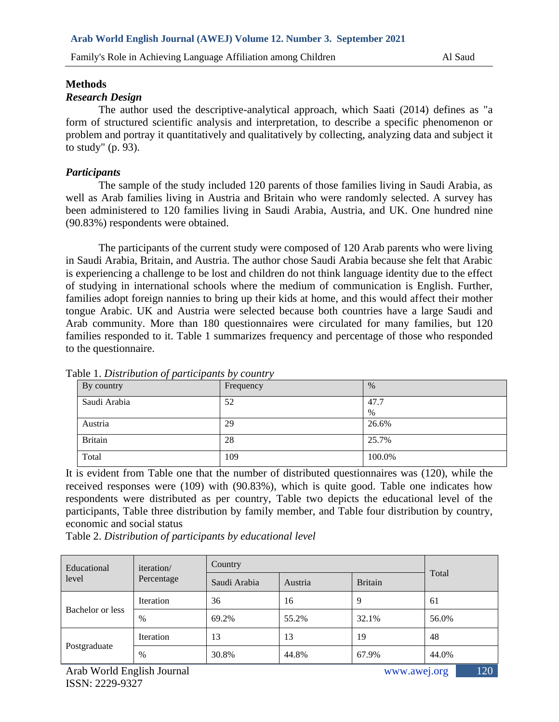## **Methods**

## *Research Design*

The author used the descriptive-analytical approach, which Saati (2014) defines as "a form of structured scientific analysis and interpretation, to describe a specific phenomenon or problem and portray it quantitatively and qualitatively by collecting, analyzing data and subject it to study" (p. 93).

# *Participants*

The sample of the study included 120 parents of those families living in Saudi Arabia, as well as Arab families living in Austria and Britain who were randomly selected. A survey has been administered to 120 families living in Saudi Arabia, Austria, and UK. One hundred nine (90.83%) respondents were obtained.

The participants of the current study were composed of 120 Arab parents who were living in Saudi Arabia, Britain, and Austria. The author chose Saudi Arabia because she felt that Arabic is experiencing a challenge to be lost and children do not think language identity due to the effect of studying in international schools where the medium of communication is English. Further, families adopt foreign nannies to bring up their kids at home, and this would affect their mother tongue Arabic. UK and Austria were selected because both countries have a large Saudi and Arab community. More than 180 questionnaires were circulated for many families, but 120 families responded to it. Table 1 summarizes frequency and percentage of those who responded to the questionnaire.

| . .<br>By country | Frequency | $\%$   |
|-------------------|-----------|--------|
| Saudi Arabia      | 52        | 47.7   |
|                   |           | $\%$   |
| Austria           | 29        | 26.6%  |
| <b>Britain</b>    | 28        | 25.7%  |
| Total             | 109       | 100.0% |

Table 1. *Distribution of participants by country*

It is evident from Table one that the number of distributed questionnaires was (120), while the received responses were (109) with (90.83%), which is quite good. Table one indicates how respondents were distributed as per country, Table two depicts the educational level of the participants, Table three distribution by family member, and Table four distribution by country, economic and social status

Table 2. *Distribution of participants by educational level*

| Educational<br>level | iteration/<br>Percentage | Country      |         |                |       |
|----------------------|--------------------------|--------------|---------|----------------|-------|
|                      |                          | Saudi Arabia | Austria | <b>Britain</b> | Total |
| Bachelor or less     | <b>Iteration</b>         | 36           | 16      |                | 61    |
|                      | $\%$                     | 69.2%        | 55.2%   | 32.1%          | 56.0% |
| Postgraduate         | <b>Iteration</b>         | 13           | 13      | 19             | 48    |
|                      | $\%$                     | 30.8%        | 44.8%   | 67.9%          | 44.0% |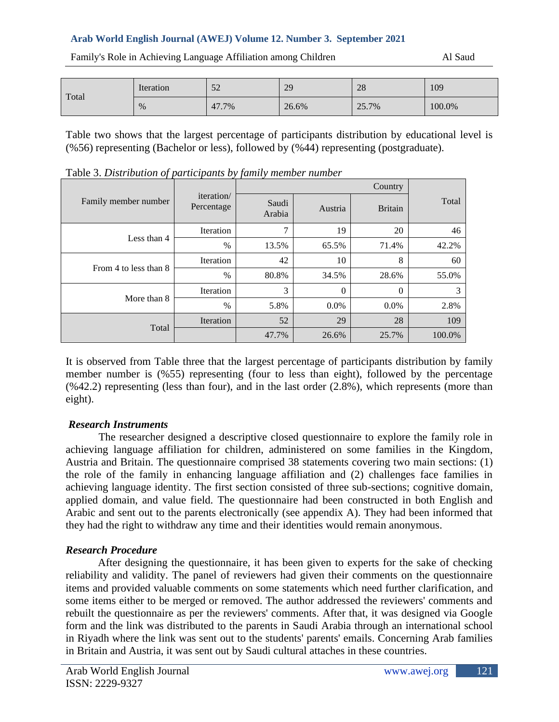| Total | Iteration | 52    | 29    | 28    | 109    |
|-------|-----------|-------|-------|-------|--------|
|       | %         | 47.7% | 26.6% | 25.7% | 100.0% |

Family's Role in Achieving Language Affiliation among Children Al Saud Al Saud

Table two shows that the largest percentage of participants distribution by educational level is (%56) representing (Bachelor or less), followed by (%44) representing (postgraduate).

| Family member number  | <i>iteration</i><br>Percentage | Saudi<br>Arabia | Austria      | <b>Britain</b> | Total  |
|-----------------------|--------------------------------|-----------------|--------------|----------------|--------|
|                       | Iteration                      | ⇁               | 19           | 20             | 46     |
| Less than 4           | $\%$                           | 13.5%           | 65.5%        | 71.4%          | 42.2%  |
| From 4 to less than 8 | Iteration                      | 42              | 10           | 8              | 60     |
|                       | $\frac{0}{0}$                  | 80.8%           | 34.5%        | 28.6%          | 55.0%  |
| More than 8           | Iteration                      | 3               | $\mathbf{0}$ | $\theta$       | 3      |
|                       | $\frac{0}{0}$                  | 5.8%            | $0.0\%$      | $0.0\%$        | 2.8%   |
| Total                 | Iteration                      | 52              | 29           | 28             | 109    |
|                       |                                | 47.7%           | 26.6%        | 25.7%          | 100.0% |

Table 3. *Distribution of participants by family member number*

It is observed from Table three that the largest percentage of participants distribution by family member number is (%55) representing (four to less than eight), followed by the percentage  $(\%42.2)$  representing (less than four), and in the last order  $(2.8\%)$ , which represents (more than eight).

# *Research Instruments*

The researcher designed a descriptive closed questionnaire to explore the family role in achieving language affiliation for children, administered on some families in the Kingdom, Austria and Britain. The questionnaire comprised 38 statements covering two main sections: (1) the role of the family in enhancing language affiliation and (2) challenges face families in achieving language identity. The first section consisted of three sub-sections; cognitive domain, applied domain, and value field. The questionnaire had been constructed in both English and Arabic and sent out to the parents electronically (see appendix A). They had been informed that they had the right to withdraw any time and their identities would remain anonymous.

# *Research Procedure*

After designing the questionnaire, it has been given to experts for the sake of checking reliability and validity. The panel of reviewers had given their comments on the questionnaire items and provided valuable comments on some statements which need further clarification, and some items either to be merged or removed. The author addressed the reviewers' comments and rebuilt the questionnaire as per the reviewers' comments. After that, it was designed via Google form and the link was distributed to the parents in Saudi Arabia through an international school in Riyadh where the link was sent out to the students' parents' emails. Concerning Arab families in Britain and Austria, it was sent out by Saudi cultural attaches in these countries.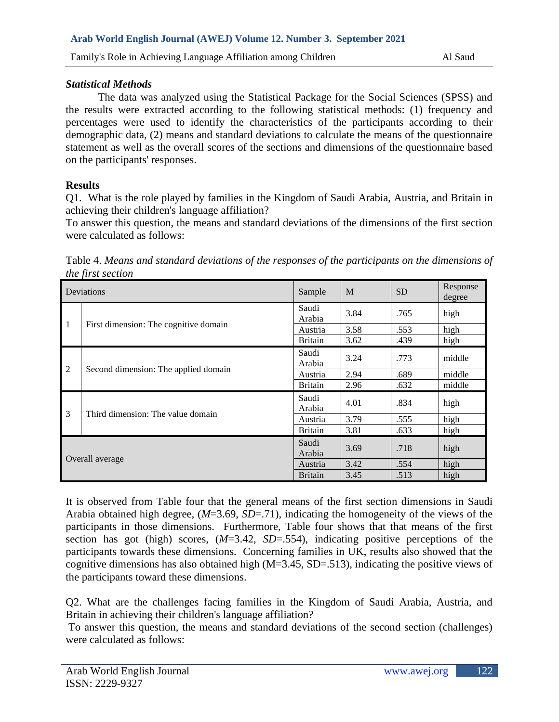# *Statistical Methods*

The data was analyzed using the Statistical Package for the Social Sciences (SPSS) and the results were extracted according to the following statistical methods: (1) frequency and percentages were used to identify the characteristics of the participants according to their demographic data, (2) means and standard deviations to calculate the means of the questionnaire statement as well as the overall scores of the sections and dimensions of the questionnaire based on the participants' responses.

# **Results**

Q1. What is the role played by families in the Kingdom of Saudi Arabia, Austria, and Britain in achieving their children's language affiliation?

To answer this question, the means and standard deviations of the dimensions of the first section were calculated as follows:

Table 4. *Means and standard deviations of the responses of the participants on the dimensions of the first section*

| Deviations      |                                       | Sample          | M    | <b>SD</b> | Response<br>degree |
|-----------------|---------------------------------------|-----------------|------|-----------|--------------------|
|                 | First dimension: The cognitive domain | Saudi<br>Arabia | 3.84 | .765      | high               |
| $\mathbf{1}$    |                                       | Austria         | 3.58 | .553      | high               |
|                 |                                       | <b>Britain</b>  | 3.62 | .439      | high               |
|                 | Second dimension: The applied domain  | Saudi<br>Arabia | 3.24 | .773      | middle             |
| $\overline{2}$  |                                       | Austria         | 2.94 | .689      | middle             |
|                 |                                       | <b>Britain</b>  | 2.96 | .632      | middle             |
|                 | Third dimension: The value domain     | Saudi<br>Arabia | 4.01 | .834      | high               |
| 3               |                                       | Austria         | 3.79 | .555      | high               |
|                 |                                       | <b>Britain</b>  | 3.81 | .633      | high               |
| Overall average |                                       | Saudi<br>Arabia | 3.69 | .718      | high               |
|                 |                                       | Austria         | 3.42 | .554      | high               |
|                 |                                       | <b>Britain</b>  | 3.45 | .513      | high               |

It is observed from Table four that the general means of the first section dimensions in Saudi Arabia obtained high degree, (*M*=3.69, *SD*=.71), indicating the homogeneity of the views of the participants in those dimensions. Furthermore, Table four shows that that means of the first section has got (high) scores, (*M*=3.42, *SD*=.554), indicating positive perceptions of the participants towards these dimensions. Concerning families in UK, results also showed that the cognitive dimensions has also obtained high (M=3.45, SD=.513), indicating the positive views of the participants toward these dimensions.

Q2. What are the challenges facing families in the Kingdom of Saudi Arabia, Austria, and Britain in achieving their children's language affiliation?

To answer this question, the means and standard deviations of the second section (challenges) were calculated as follows: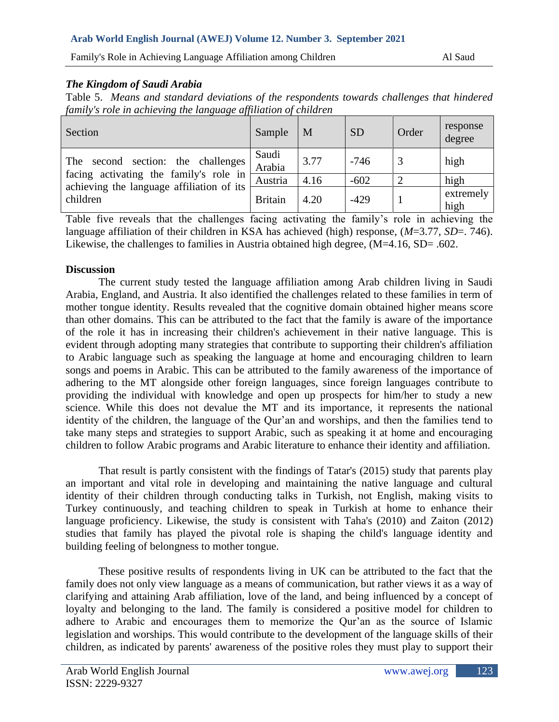Family's Role in Achieving Language Affiliation among Children Al Saud Al Saud

# *The Kingdom of Saudi Arabia*

Table 5. *Means and standard deviations of the respondents towards challenges that hindered family's role in achieving the language affiliation of children*

| Section                                                                                                                                  | Sample          | M    | <b>SD</b> | Order | response<br>degree |
|------------------------------------------------------------------------------------------------------------------------------------------|-----------------|------|-----------|-------|--------------------|
| second section: the challenges<br>The<br>facing activating the family's role in<br>achieving the language affiliation of its<br>children | Saudi<br>Arabia | 3.77 | $-746$    |       | high               |
|                                                                                                                                          | Austria         | 4.16 | $-602$    |       | high               |
|                                                                                                                                          | <b>Britain</b>  | 4.20 | $-429$    |       | extremely<br>high  |

Table five reveals that the challenges facing activating the family's role in achieving the language affiliation of their children in KSA has achieved (high) response, (*M*=3.77, *SD*=. 746). Likewise, the challenges to families in Austria obtained high degree, (M=4.16, SD= .602.

# **Discussion**

The current study tested the language affiliation among Arab children living in Saudi Arabia, England, and Austria. It also identified the challenges related to these families in term of mother tongue identity. Results revealed that the cognitive domain obtained higher means score than other domains. This can be attributed to the fact that the family is aware of the importance of the role it has in increasing their children's achievement in their native language. This is evident through adopting many strategies that contribute to supporting their children's affiliation to Arabic language such as speaking the language at home and encouraging children to learn songs and poems in Arabic. This can be attributed to the family awareness of the importance of adhering to the MT alongside other foreign languages, since foreign languages contribute to providing the individual with knowledge and open up prospects for him/her to study a new science. While this does not devalue the MT and its importance, it represents the national identity of the children, the language of the Qur'an and worships, and then the families tend to take many steps and strategies to support Arabic, such as speaking it at home and encouraging children to follow Arabic programs and Arabic literature to enhance their identity and affiliation.

That result is partly consistent with the findings of Tatar's (2015) study that parents play an important and vital role in developing and maintaining the native language and cultural identity of their children through conducting talks in Turkish, not English, making visits to Turkey continuously, and teaching children to speak in Turkish at home to enhance their language proficiency. Likewise, the study is consistent with Taha's (2010) and Zaiton (2012) studies that family has played the pivotal role is shaping the child's language identity and building feeling of belongness to mother tongue.

These positive results of respondents living in UK can be attributed to the fact that the family does not only view language as a means of communication, but rather views it as a way of clarifying and attaining Arab affiliation, love of the land, and being influenced by a concept of loyalty and belonging to the land. The family is considered a positive model for children to adhere to Arabic and encourages them to memorize the Qur'an as the source of Islamic legislation and worships. This would contribute to the development of the language skills of their children, as indicated by parents' awareness of the positive roles they must play to support their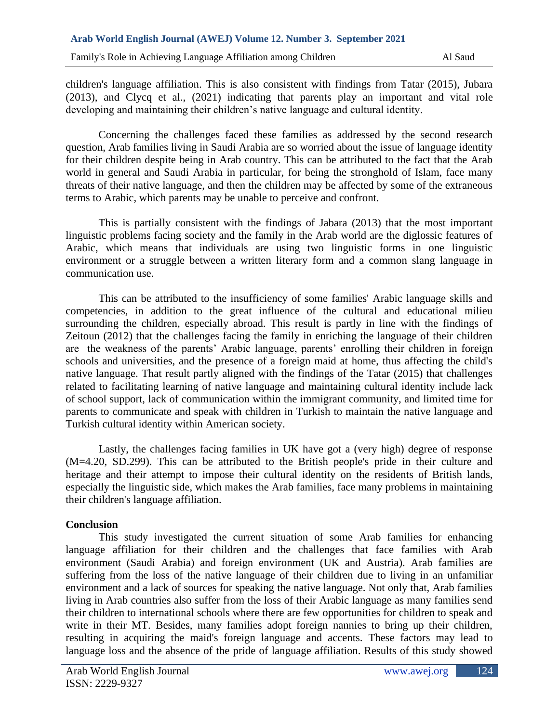children's language affiliation. This is also consistent with findings from Tatar (2015), Jubara (2013), and Clycq et al., (2021) indicating that parents play an important and vital role developing and maintaining their children's native language and cultural identity.

Concerning the challenges faced these families as addressed by the second research question, Arab families living in Saudi Arabia are so worried about the issue of language identity for their children despite being in Arab country. This can be attributed to the fact that the Arab world in general and Saudi Arabia in particular, for being the stronghold of Islam, face many threats of their native language, and then the children may be affected by some of the extraneous terms to Arabic, which parents may be unable to perceive and confront.

This is partially consistent with the findings of Jabara (2013) that the most important linguistic problems facing society and the family in the Arab world are the diglossic features of Arabic, which means that individuals are using two linguistic forms in one linguistic environment or a struggle between a written literary form and a common slang language in communication use.

This can be attributed to the insufficiency of some families' Arabic language skills and competencies, in addition to the great influence of the cultural and educational milieu surrounding the children, especially abroad. This result is partly in line with the findings of Zeitoun (2012) that the challenges facing the family in enriching the language of their children are the weakness of the parents' Arabic language, parents' enrolling their children in foreign schools and universities, and the presence of a foreign maid at home, thus affecting the child's native language. That result partly aligned with the findings of the Tatar (2015) that challenges related to facilitating learning of native language and maintaining cultural identity include lack of school support, lack of communication within the immigrant community, and limited time for parents to communicate and speak with children in Turkish to maintain the native language and Turkish cultural identity within American society.

Lastly, the challenges facing families in UK have got a (very high) degree of response (M=4.20, SD.299). This can be attributed to the British people's pride in their culture and heritage and their attempt to impose their cultural identity on the residents of British lands, especially the linguistic side, which makes the Arab families, face many problems in maintaining their children's language affiliation.

## **Conclusion**

This study investigated the current situation of some Arab families for enhancing language affiliation for their children and the challenges that face families with Arab environment (Saudi Arabia) and foreign environment (UK and Austria). Arab families are suffering from the loss of the native language of their children due to living in an unfamiliar environment and a lack of sources for speaking the native language. Not only that, Arab families living in Arab countries also suffer from the loss of their Arabic language as many families send their children to international schools where there are few opportunities for children to speak and write in their MT. Besides, many families adopt foreign nannies to bring up their children, resulting in acquiring the maid's foreign language and accents. These factors may lead to language loss and the absence of the pride of language affiliation. Results of this study showed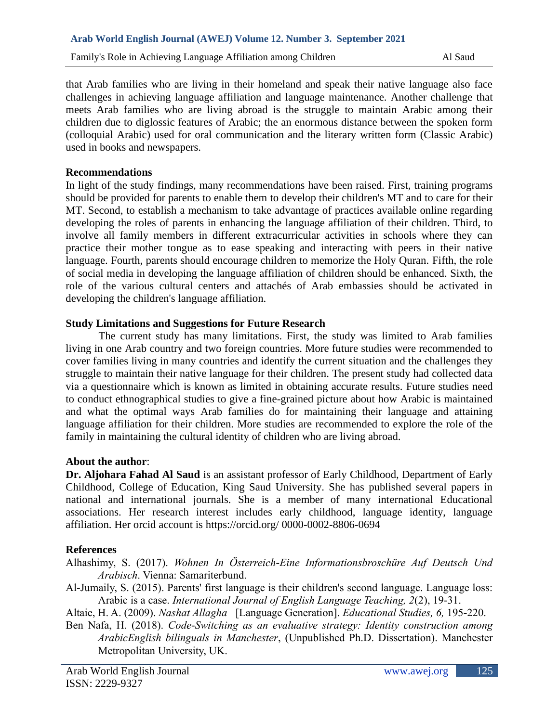that Arab families who are living in their homeland and speak their native language also face challenges in achieving language affiliation and language maintenance. Another challenge that meets Arab families who are living abroad is the struggle to maintain Arabic among their children due to diglossic features of Arabic; the an enormous distance between the spoken form (colloquial Arabic) used for oral communication and the literary written form (Classic Arabic) used in books and newspapers.

### **Recommendations**

In light of the study findings, many recommendations have been raised. First, training programs should be provided for parents to enable them to develop their children's MT and to care for their MT. Second, to establish a mechanism to take advantage of practices available online regarding developing the roles of parents in enhancing the language affiliation of their children. Third, to involve all family members in different extracurricular activities in schools where they can practice their mother tongue as to ease speaking and interacting with peers in their native language. Fourth, parents should encourage children to memorize the Holy Quran. Fifth, the role of social media in developing the language affiliation of children should be enhanced. Sixth, the role of the various cultural centers and attachés of Arab embassies should be activated in developing the children's language affiliation.

## **Study Limitations and Suggestions for Future Research**

The current study has many limitations. First, the study was limited to Arab families living in one Arab country and two foreign countries. More future studies were recommended to cover families living in many countries and identify the current situation and the challenges they struggle to maintain their native language for their children. The present study had collected data via a questionnaire which is known as limited in obtaining accurate results. Future studies need to conduct ethnographical studies to give a fine-grained picture about how Arabic is maintained and what the optimal ways Arab families do for maintaining their language and attaining language affiliation for their children. More studies are recommended to explore the role of the family in maintaining the cultural identity of children who are living abroad.

#### **About the author**:

**Dr. Aljohara Fahad Al Saud** is an assistant professor of Early Childhood, Department of Early Childhood, College of Education, King Saud University. She has published several papers in national and international journals. She is a member of many international Educational associations. Her research interest includes early childhood, language identity, language affiliation. Her orcid account is https://orcid.org/ 0000-0002-8806-0694

## **References**

Alhashimy, S. (2017). *Wohnen In Österreich-Eine Informationsbroschüre Auf Deutsch Und Arabisch*. Vienna: Samariterbund.

Al-Jumaily, S. (2015). Parents' first language is their children's second language. Language loss: Arabic is a case. *International Journal of English Language Teaching, 2*(2), 19-31.

Altaie, H. A. (2009). *Nashat Allagha* [Language Generation]. *Educational Studies, 6,* 195-220.

Ben Nafa, H. (2018). *Code-Switching as an evaluative strategy: Identity construction among ArabicEnglish bilinguals in Manchester*, (Unpublished Ph.D. Dissertation). Manchester Metropolitan University, UK.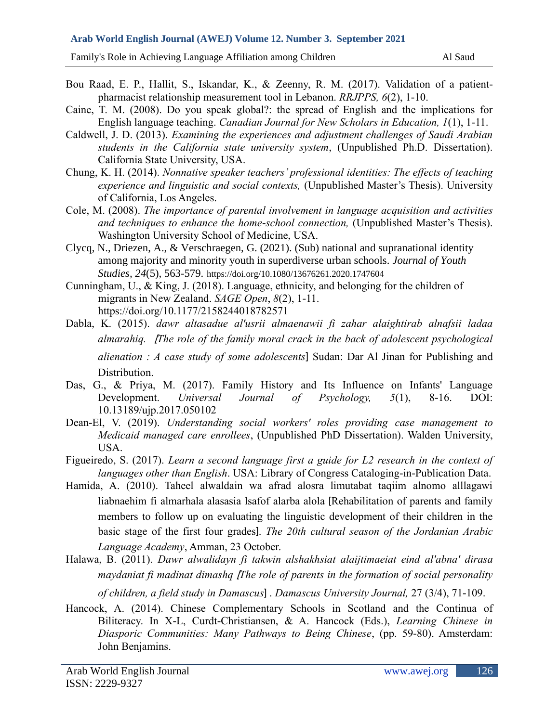Family's Role in Achieving Language Affiliation among Children Al Saud Al Saud

- Bou Raad, E. P., Hallit, S., Iskandar, K., & Zeenny, R. M. (2017). Validation of a patientpharmacist relationship measurement tool in Lebanon. *RRJPPS, 6*(2), 1-10.
- Caine, T. M. (2008). Do you speak global?: the spread of English and the implications for English language teaching. *Canadian Journal for New Scholars in Education, 1*(1), 1-11.
- Caldwell, J. D. (2013). *Examining the experiences and adjustment challenges of Saudi Arabian students in the California state university system*, (Unpublished Ph.D. Dissertation). California State University, USA.
- Chung, K. H. (2014). *Nonnative speaker teachers' professional identities: The effects of teaching experience and linguistic and social contexts,* (Unpublished Master's Thesis). University of California, Los Angeles.
- Cole, M. (2008). *The importance of parental involvement in language acquisition and activities and techniques to enhance the home-school connection,* (Unpublished Master's Thesis). Washington University School of Medicine, USA.
- Clycq, N., Driezen, A., & Verschraegen, G. (2021). (Sub) national and supranational identity among majority and minority youth in superdiverse urban schools. *Journal of Youth Studies, 24*(5), 563-579. <https://doi.org/10.1080/13676261.2020.1747604>
- Cunningham, U., & King, J. (2018). Language, ethnicity, and belonging for the children of migrants in New Zealand. *SAGE Open*, *8*(2), 1-11. [https://doi.org/10.1177/2158244018782571](https://doi.org/10.1177%2F2158244018782571)
- Dabla, K. (2015). *dawr altasadue al'usrii almaenawii fi zahar alaightirab alnafsii ladaa almarahiq.* ]*The role of the family moral crack in the back of adolescent psychological alienation : A case study of some adolescents*[ Sudan: Dar Al Jinan for Publishing and Distribution.
- Das, G., & Priya, M. (2017). Family History and Its Influence on Infants' Language Development. *Universal Journal of Psychology, 5*(1), 8-16. DOI: 10.13189/ujp.2017.050102
- Dean-El, V. (2019). *Understanding social workers' roles providing case management to Medicaid managed care enrollees*, (Unpublished PhD Dissertation). Walden University, USA.
- Figueiredo, S. (2017). *Learn a second language first a guide for L2 research in the context of languages other than English*. USA: Library of Congress Cataloging-in-Publication Data.
- Hamida, A. (2010). Taheel alwaldain wa afrad alosra limutabat taqiim alnomo alllagawi liabnaehim fi almarhala alasasia lsafof alarba alola [Rehabilitation of parents and family members to follow up on evaluating the linguistic development of their children in the basic stage of the first four grades]. *The 20th cultural season of the Jordanian Arabic Language Academy*, Amman, 23 October.
- Halawa, B. (2011). *Dawr alwalidayn fi takwin alshakhsiat alaijtimaeiat eind al'abna' dirasa maydaniat fi madinat dimashq [The role of parents in the formation of social personality*

*of children, a field study in Damascus*[ . *Damascus University Journal,* 27 (3/4), 71-109.

Hancock, A. (2014). Chinese Complementary Schools in Scotland and the Continua of Biliteracy. In X-L, Curdt-Christiansen, & A. Hancock (Eds.), *Learning Chinese in Diasporic Communities: Many Pathways to Being Chinese*, (pp. 59-80). Amsterdam: John Benjamins.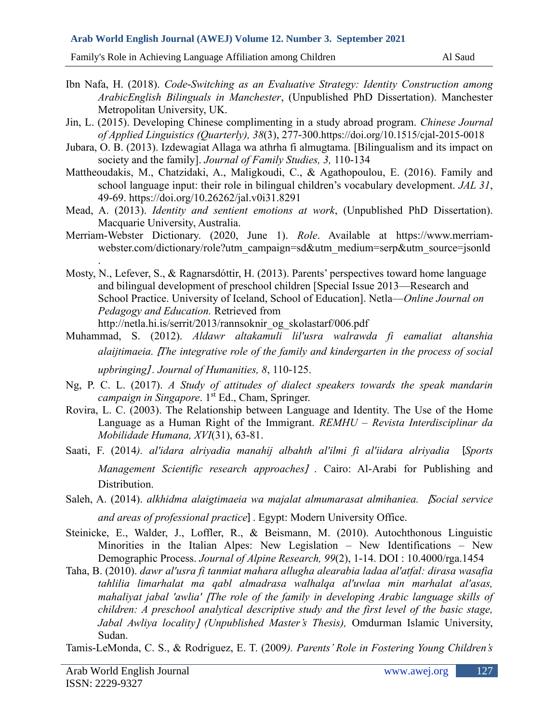Family's Role in Achieving Language Affiliation among Children Al Saud Al Saud

- Ibn Nafa, H. (2018). *Code-Switching as an Evaluative Strategy: Identity Construction among ArabicEnglish Bilinguals in Manchester*, (Unpublished PhD Dissertation). Manchester Metropolitan University, UK.
- Jin, L. (2015). Developing Chinese complimenting in a study abroad program. *Chinese Journal of Applied Linguistics (Quarterly), 38*(3), 277-300.<https://doi.org/10.1515/cjal-2015-0018>
- Jubara, O. B. (2013). Izdewagiat Allaga wa athrha fi almugtama. [Bilingualism and its impact on society and the family]. *Journal of Family Studies, 3,* 110-134
- Mattheoudakis, M., Chatzidaki, A., Maligkoudi, C., & Agathopoulou, E. (2016). Family and school language input: their role in bilingual children's vocabulary development. *JAL 31*, 49-69. https://doi.org/10.26262/jal.v0i31.8291
- Mead, A. (2013). *Identity and sentient emotions at work*, (Unpublished PhD Dissertation). Macquarie University, Australia.
- Merriam-Webster Dictionary. (2020, June 1). *Role*. Available at [https://www.merriam](https://www.merriam-webster.com/dictionary/role?utm_campaign=sd&utm_medium=serp&utm_source=jsonld)[webster.com/dictionary/role?utm\\_campaign=sd&utm\\_medium=serp&utm\\_source=jsonld](https://www.merriam-webster.com/dictionary/role?utm_campaign=sd&utm_medium=serp&utm_source=jsonld) .
- Mosty, N., Lefever, S., & Ragnarsdóttir, H. (2013). Parents' perspectives toward home language and bilingual development of preschool children [Special Issue 2013—Research and School Practice. University of Iceland, School of Education]. Netla—*Online Journal on Pedagogy and Education.* Retrieved from http://netla.hi.is/serrit/2013/rannsoknir\_og\_skolastarf/006.pdf
- Muhammad, S. (2012). *Aldawr altakamuli lil'usra walrawda fi eamaliat altanshia alaijtimaeia.* ]*The integrative role of the family and kindergarten in the process of social upbringing*[ *. Journal of Humanities, 8*, 110-125.
- Ng, P. C. L. (2017). *A Study of attitudes of dialect speakers towards the speak mandarin campaign in Singapore.* 1<sup>st</sup> Ed., Cham, Springer.
- Rovira, L. C. (2003). The Relationship between Language and Identity. The Use of the Home Language as a Human Right of the Immigrant. *REMHU – Revista Interdisciplinar da Mobilidade Humana, XVI*(31), 63-81.
- Saati, F. (2014*). al'idara alriyadia manahij albahth al'ilmi fi al'iidara alriyadia* ]*Sports Management Scientific research approaches]* . Cairo: Al-Arabi for Publishing and Distribution.
- Saleh, A. (2014). *alkhidma alaigtimaeia wa majalat almumarasat almihaniea.* ]*Social service and areas of professional practice*]. Egypt: Modern University Office.
- Steinicke, E., Walder, J., Loffler, R., & Beismann, M. (2010). Autochthonous Linguistic Minorities in the Italian Alpes: New Legislation – New Identifications – New Demographic Process. *Journal of Alpine Research, 99*(2), 1-14. DOI : 10.4000/rga.1454
- Taha, B. (2010). *dawr al'usra fi tanmiat mahara allugha alearabia ladaa al'atfal: dirasa wasafia tahlilia limarhalat ma qabl almadrasa walhalqa al'uwlaa min marhalat al'asas, mahaliyat jabal 'awlia' The role of the family in developing Arabic language skills of children: A preschool analytical descriptive study and the first level of the basic stage, Jabal Awliya locality (Unpublished Master's Thesis),* Omdurman Islamic University, Sudan.
- Tamis-LeMonda, C. S., & Rodriguez, E. T. (2009*). Parents' Role in Fostering Young Children's*